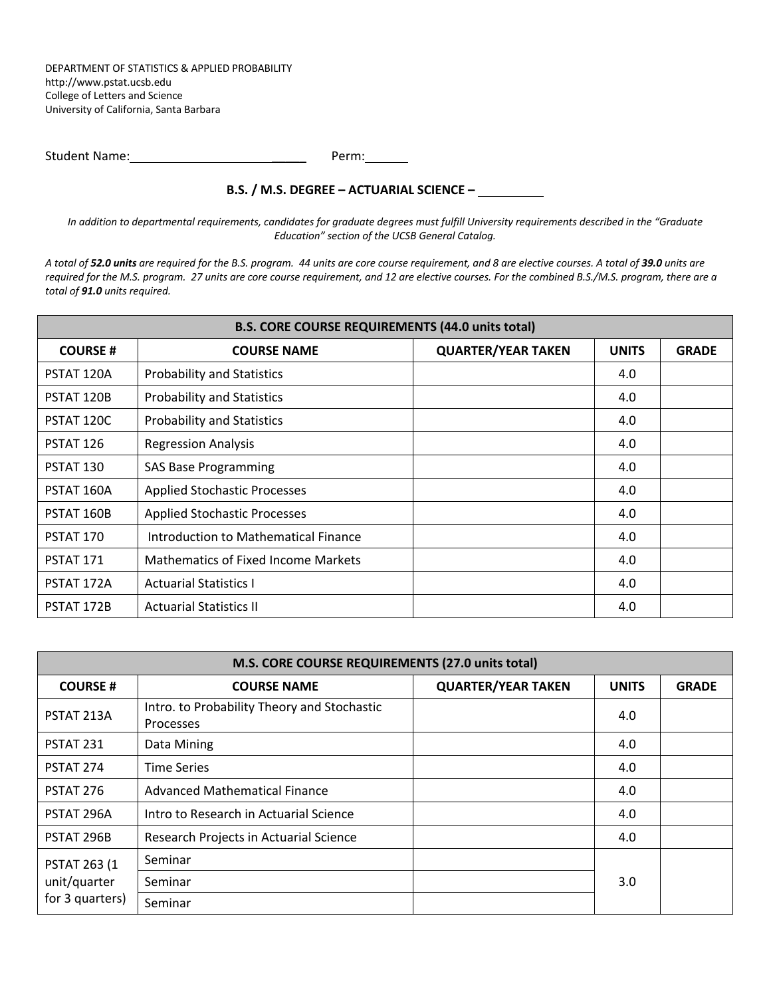DEPARTMENT OF STATISTICS & APPLIED PROBABILITY http://www.pstat.ucsb.edu College of Letters and Science University of California, Santa Barbara

| <b>Student Name:</b> | Perm: |
|----------------------|-------|
|                      |       |

## **B.S. / M.S. DEGREE – ACTUARIAL SCIENCE –**

*In addition to departmental requirements, candidates for graduate degrees must fulfill University requirements described in the "Graduate Education" section of the UCSB General Catalog.*

*A total of 52.0 units are required for the B.S. program. 44 units are core course requirement, and 8 are elective courses. A total of 39.0 units are required for the M.S. program. 27 units are core course requirement, and 12 are elective courses. For the combined B.S./M.S. program, there are a total of 91.0 units required.*

| <b>B.S. CORE COURSE REQUIREMENTS (44.0 units total)</b> |                                            |                           |              |              |  |
|---------------------------------------------------------|--------------------------------------------|---------------------------|--------------|--------------|--|
| <b>COURSE#</b>                                          | <b>COURSE NAME</b>                         | <b>QUARTER/YEAR TAKEN</b> | <b>UNITS</b> | <b>GRADE</b> |  |
| PSTAT 120A                                              | <b>Probability and Statistics</b>          |                           | 4.0          |              |  |
| PSTAT 120B                                              | <b>Probability and Statistics</b>          |                           | 4.0          |              |  |
| PSTAT 120C                                              | <b>Probability and Statistics</b>          |                           | 4.0          |              |  |
| PSTAT 126                                               | <b>Regression Analysis</b>                 |                           | 4.0          |              |  |
| PSTAT 130                                               | <b>SAS Base Programming</b>                |                           | 4.0          |              |  |
| PSTAT 160A                                              | <b>Applied Stochastic Processes</b>        |                           | 4.0          |              |  |
| PSTAT 160B                                              | <b>Applied Stochastic Processes</b><br>4.0 |                           |              |              |  |
| PSTAT 170                                               | Introduction to Mathematical Finance       |                           | 4.0          |              |  |
| PSTAT 171                                               | Mathematics of Fixed Income Markets        |                           | 4.0          |              |  |
| PSTAT 172A                                              | <b>Actuarial Statistics I</b>              |                           | 4.0          |              |  |
| PSTAT 172B                                              | <b>Actuarial Statistics II</b>             |                           | 4.0          |              |  |

| M.S. CORE COURSE REQUIREMENTS (27.0 units total)        |                                                          |                           |              |              |  |
|---------------------------------------------------------|----------------------------------------------------------|---------------------------|--------------|--------------|--|
| <b>COURSE#</b>                                          | <b>COURSE NAME</b>                                       | <b>QUARTER/YEAR TAKEN</b> | <b>UNITS</b> | <b>GRADE</b> |  |
| PSTAT 213A                                              | Intro. to Probability Theory and Stochastic<br>Processes |                           | 4.0          |              |  |
| PSTAT 231                                               | Data Mining                                              |                           | 4.0          |              |  |
| PSTAT 274                                               | <b>Time Series</b>                                       |                           | 4.0          |              |  |
| PSTAT 276                                               | <b>Advanced Mathematical Finance</b>                     |                           | 4.0          |              |  |
| PSTAT 296A                                              | Intro to Research in Actuarial Science                   |                           | 4.0          |              |  |
| PSTAT 296B                                              | Research Projects in Actuarial Science                   |                           | 4.0          |              |  |
| <b>PSTAT 263 (1)</b><br>unit/quarter<br>for 3 quarters) | Seminar                                                  |                           |              |              |  |
|                                                         | Seminar                                                  |                           | 3.0          |              |  |
|                                                         | Seminar                                                  |                           |              |              |  |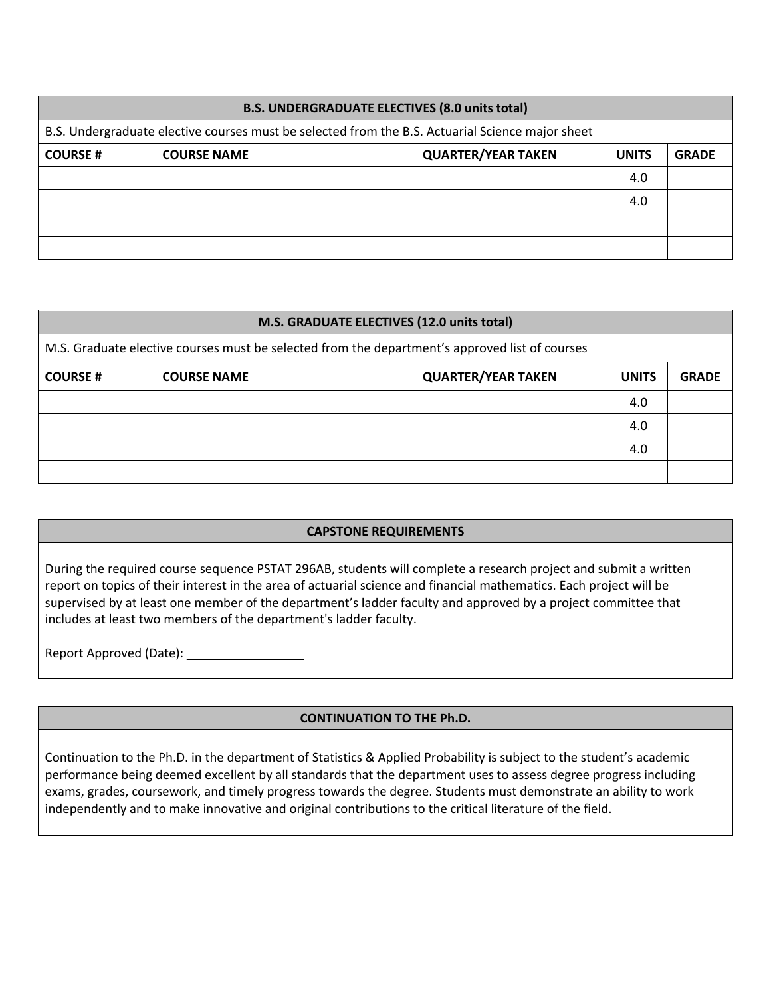| <b>B.S. UNDERGRADUATE ELECTIVES (8.0 units total)</b>                                            |                    |                           |              |              |
|--------------------------------------------------------------------------------------------------|--------------------|---------------------------|--------------|--------------|
| B.S. Undergraduate elective courses must be selected from the B.S. Actuarial Science major sheet |                    |                           |              |              |
| <b>COURSE#</b>                                                                                   | <b>COURSE NAME</b> | <b>QUARTER/YEAR TAKEN</b> | <b>UNITS</b> | <b>GRADE</b> |
|                                                                                                  |                    |                           | 4.0          |              |
|                                                                                                  |                    |                           | 4.0          |              |
|                                                                                                  |                    |                           |              |              |
|                                                                                                  |                    |                           |              |              |

| M.S. GRADUATE ELECTIVES (12.0 units total)                                                     |                    |                           |              |              |
|------------------------------------------------------------------------------------------------|--------------------|---------------------------|--------------|--------------|
| M.S. Graduate elective courses must be selected from the department's approved list of courses |                    |                           |              |              |
| <b>COURSE#</b>                                                                                 | <b>COURSE NAME</b> | <b>QUARTER/YEAR TAKEN</b> | <b>UNITS</b> | <b>GRADE</b> |
|                                                                                                |                    |                           | 4.0          |              |
|                                                                                                |                    |                           | 4.0          |              |
|                                                                                                |                    |                           | 4.0          |              |
|                                                                                                |                    |                           |              |              |

## **CAPSTONE REQUIREMENTS**

During the required course sequence PSTAT 296AB, students will complete a research project and submit a written report on topics of their interest in the area of actuarial science and financial mathematics. Each project will be supervised by at least one member of the department's ladder faculty and approved by a project committee that includes at least two members of the department's ladder faculty.

Report Approved (Date): \_\_\_\_\_\_\_\_\_\_\_\_\_\_\_\_\_

## **CONTINUATION TO THE Ph.D.**

Continuation to the Ph.D. in the department of Statistics & Applied Probability is subject to the student's academic performance being deemed excellent by all standards that the department uses to assess degree progress including exams, grades, coursework, and timely progress towards the degree. Students must demonstrate an ability to work independently and to make innovative and original contributions to the critical literature of the field.